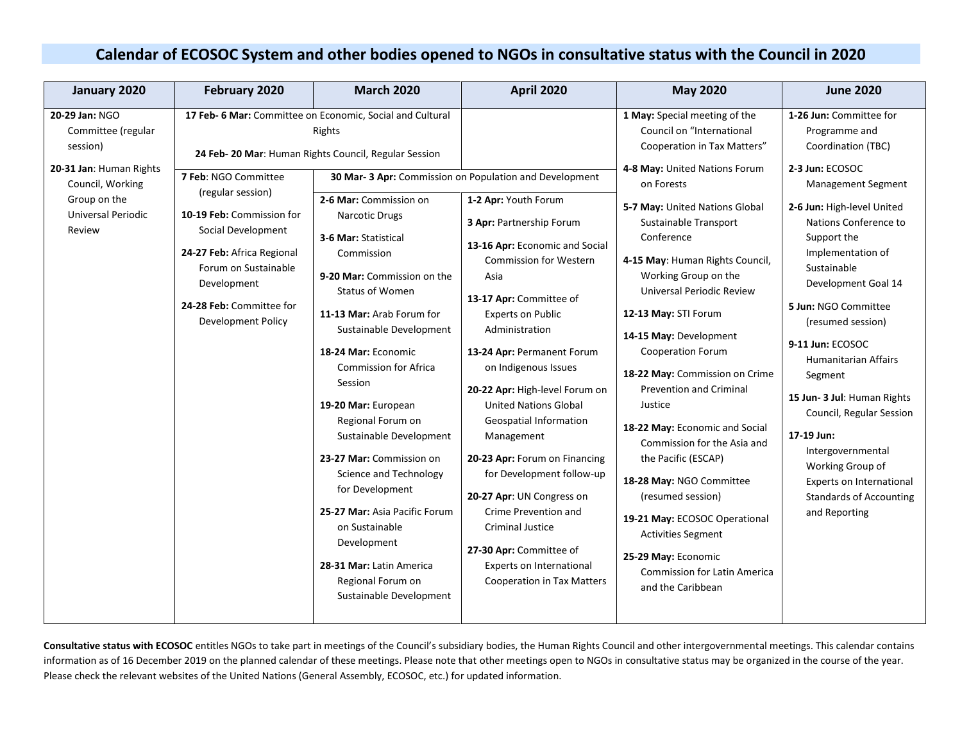## **Calendar of ECOSOC System and other bodies opened to NGOs in consultative status with the Council in 2020**

| January 2020                                                                                                                                           | February 2020                                                                                                                                                                                                       | <b>March 2020</b>                                                                                                                                                                                                                                                                                                                                                                                                                                                                                                                                                                                                                                                                               | <b>April 2020</b>                                                                                                                                                                                                                                                                                                                                                                                                                                                                                                                                                                                                                                                         | <b>May 2020</b>                                                                                                                                                                                                                                                                                                                                                                                                                                                                                                                                                                                                                                                                                                                                                         | <b>June 2020</b>                                                                                                                                                                                                                                                                                                                                                                                                                                                                                                                                            |
|--------------------------------------------------------------------------------------------------------------------------------------------------------|---------------------------------------------------------------------------------------------------------------------------------------------------------------------------------------------------------------------|-------------------------------------------------------------------------------------------------------------------------------------------------------------------------------------------------------------------------------------------------------------------------------------------------------------------------------------------------------------------------------------------------------------------------------------------------------------------------------------------------------------------------------------------------------------------------------------------------------------------------------------------------------------------------------------------------|---------------------------------------------------------------------------------------------------------------------------------------------------------------------------------------------------------------------------------------------------------------------------------------------------------------------------------------------------------------------------------------------------------------------------------------------------------------------------------------------------------------------------------------------------------------------------------------------------------------------------------------------------------------------------|-------------------------------------------------------------------------------------------------------------------------------------------------------------------------------------------------------------------------------------------------------------------------------------------------------------------------------------------------------------------------------------------------------------------------------------------------------------------------------------------------------------------------------------------------------------------------------------------------------------------------------------------------------------------------------------------------------------------------------------------------------------------------|-------------------------------------------------------------------------------------------------------------------------------------------------------------------------------------------------------------------------------------------------------------------------------------------------------------------------------------------------------------------------------------------------------------------------------------------------------------------------------------------------------------------------------------------------------------|
| 20-29 Jan: NGO<br>Committee (regular<br>session)<br>20-31 Jan: Human Rights<br>Council, Working<br>Group on the<br><b>Universal Periodic</b><br>Review | 7 Feb: NGO Committee<br>(regular session)<br>10-19 Feb: Commission for<br>Social Development<br>24-27 Feb: Africa Regional<br>Forum on Sustainable<br>Development<br>24-28 Feb: Committee for<br>Development Policy | 17 Feb- 6 Mar: Committee on Economic, Social and Cultural<br>Rights<br>24 Feb- 20 Mar: Human Rights Council, Regular Session<br>2-6 Mar: Commission on<br><b>Narcotic Drugs</b><br>3-6 Mar: Statistical<br>Commission<br>9-20 Mar: Commission on the<br>Status of Women<br>11-13 Mar: Arab Forum for<br>Sustainable Development<br>18-24 Mar: Economic<br><b>Commission for Africa</b><br>Session<br>19-20 Mar: European<br>Regional Forum on<br>Sustainable Development<br>23-27 Mar: Commission on<br>Science and Technology<br>for Development<br>25-27 Mar: Asia Pacific Forum<br>on Sustainable<br>Development<br>28-31 Mar: Latin America<br>Regional Forum on<br>Sustainable Development | 30 Mar- 3 Apr: Commission on Population and Development<br>1-2 Apr: Youth Forum<br>3 Apr: Partnership Forum<br>13-16 Apr: Economic and Social<br><b>Commission for Western</b><br>Asia<br>13-17 Apr: Committee of<br><b>Experts on Public</b><br>Administration<br>13-24 Apr: Permanent Forum<br>on Indigenous Issues<br>20-22 Apr: High-level Forum on<br><b>United Nations Global</b><br><b>Geospatial Information</b><br>Management<br>20-23 Apr: Forum on Financing<br>for Development follow-up<br>20-27 Apr: UN Congress on<br>Crime Prevention and<br>Criminal Justice<br>27-30 Apr: Committee of<br>Experts on International<br><b>Cooperation in Tax Matters</b> | 1 May: Special meeting of the<br>Council on "International<br>Cooperation in Tax Matters"<br>4-8 May: United Nations Forum<br>on Forests<br>5-7 May: United Nations Global<br>Sustainable Transport<br>Conference<br>4-15 May: Human Rights Council,<br>Working Group on the<br><b>Universal Periodic Review</b><br>12-13 May: STI Forum<br>14-15 May: Development<br><b>Cooperation Forum</b><br>18-22 May: Commission on Crime<br><b>Prevention and Criminal</b><br>Justice<br>18-22 May: Economic and Social<br>Commission for the Asia and<br>the Pacific (ESCAP)<br>18-28 May: NGO Committee<br>(resumed session)<br>19-21 May: ECOSOC Operational<br><b>Activities Segment</b><br>25-29 May: Economic<br><b>Commission for Latin America</b><br>and the Caribbean | 1-26 Jun: Committee for<br>Programme and<br>Coordination (TBC)<br>2-3 Jun: ECOSOC<br><b>Management Segment</b><br>2-6 Jun: High-level United<br>Nations Conference to<br>Support the<br>Implementation of<br>Sustainable<br>Development Goal 14<br>5 Jun: NGO Committee<br>(resumed session)<br>9-11 Jun: ECOSOC<br><b>Humanitarian Affairs</b><br>Segment<br>15 Jun- 3 Jul: Human Rights<br>Council, Regular Session<br>17-19 Jun:<br>Intergovernmental<br>Working Group of<br>Experts on International<br><b>Standards of Accounting</b><br>and Reporting |

**Consultative status with ECOSOC** entitles NGOs to take part in meetings of the Council's subsidiary bodies, the Human Rights Council and other intergovernmental meetings. This calendar contains information as of 16 December 2019 on the planned calendar of these meetings. Please note that other meetings open to NGOs in consultative status may be organized in the course of the year. Please check the relevant websites of the United Nations (General Assembly, ECOSOC, etc.) for updated information.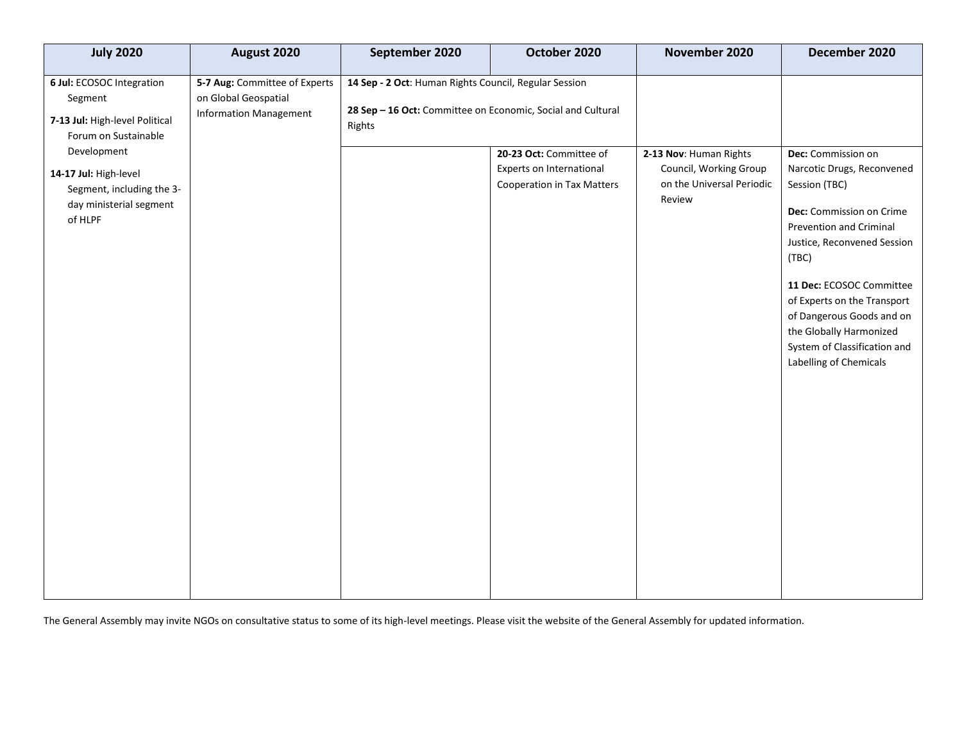| <b>July 2020</b>                                                                                                                                                                                          | August 2020                                                                            | September 2020                                                                                                                 | October 2020                                                                             | November 2020                                                                           | December 2020                                                                                                                                                                                                               |
|-----------------------------------------------------------------------------------------------------------------------------------------------------------------------------------------------------------|----------------------------------------------------------------------------------------|--------------------------------------------------------------------------------------------------------------------------------|------------------------------------------------------------------------------------------|-----------------------------------------------------------------------------------------|-----------------------------------------------------------------------------------------------------------------------------------------------------------------------------------------------------------------------------|
| 6 Jul: ECOSOC Integration<br>Segment<br>7-13 Jul: High-level Political<br>Forum on Sustainable<br>Development<br>14-17 Jul: High-level<br>Segment, including the 3-<br>day ministerial segment<br>of HLPF | 5-7 Aug: Committee of Experts<br>on Global Geospatial<br><b>Information Management</b> | 14 Sep - 2 Oct: Human Rights Council, Regular Session<br>28 Sep - 16 Oct: Committee on Economic, Social and Cultural<br>Rights | 20-23 Oct: Committee of<br>Experts on International<br><b>Cooperation in Tax Matters</b> | 2-13 Nov: Human Rights<br>Council, Working Group<br>on the Universal Periodic<br>Review | Dec: Commission on<br>Narcotic Drugs, Reconvened<br>Session (TBC)<br>Dec: Commission on Crime<br>Prevention and Criminal<br>Justice, Reconvened Session<br>(TBC)<br>11 Dec: ECOSOC Committee<br>of Experts on the Transport |
|                                                                                                                                                                                                           |                                                                                        |                                                                                                                                |                                                                                          |                                                                                         | of Dangerous Goods and on<br>the Globally Harmonized<br>System of Classification and<br>Labelling of Chemicals                                                                                                              |

The General Assembly may invite NGOs on consultative status to some of its high-level meetings. Please visit the website of the General Assembly for updated information.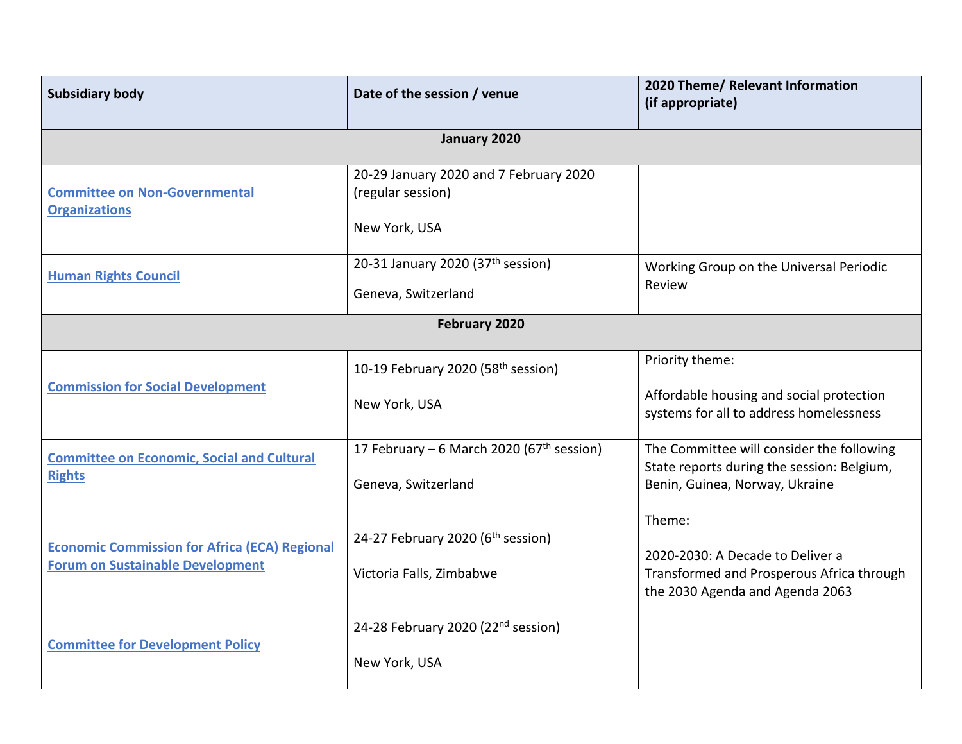| <b>Subsidiary body</b>                                                                          | Date of the session / venue                                                  | 2020 Theme/ Relevant Information<br>(if appropriate)                                                                       |  |
|-------------------------------------------------------------------------------------------------|------------------------------------------------------------------------------|----------------------------------------------------------------------------------------------------------------------------|--|
|                                                                                                 | January 2020                                                                 |                                                                                                                            |  |
| <b>Committee on Non-Governmental</b><br><b>Organizations</b>                                    | 20-29 January 2020 and 7 February 2020<br>(regular session)<br>New York, USA |                                                                                                                            |  |
| <b>Human Rights Council</b>                                                                     | 20-31 January 2020 (37th session)<br>Geneva, Switzerland                     | Working Group on the Universal Periodic<br>Review                                                                          |  |
| February 2020                                                                                   |                                                                              |                                                                                                                            |  |
| <b>Commission for Social Development</b>                                                        | 10-19 February 2020 (58 <sup>th</sup> session)<br>New York, USA              | Priority theme:<br>Affordable housing and social protection<br>systems for all to address homelessness                     |  |
| <b>Committee on Economic, Social and Cultural</b><br><b>Rights</b>                              | 17 February – 6 March 2020 (67 <sup>th</sup> session)<br>Geneva, Switzerland | The Committee will consider the following<br>State reports during the session: Belgium,<br>Benin, Guinea, Norway, Ukraine  |  |
| <b>Economic Commission for Africa (ECA) Regional</b><br><b>Forum on Sustainable Development</b> | 24-27 February 2020 (6 <sup>th</sup> session)<br>Victoria Falls, Zimbabwe    | Theme:<br>2020-2030: A Decade to Deliver a<br>Transformed and Prosperous Africa through<br>the 2030 Agenda and Agenda 2063 |  |
| <b>Committee for Development Policy</b>                                                         | 24-28 February 2020 (22 <sup>nd</sup> session)<br>New York, USA              |                                                                                                                            |  |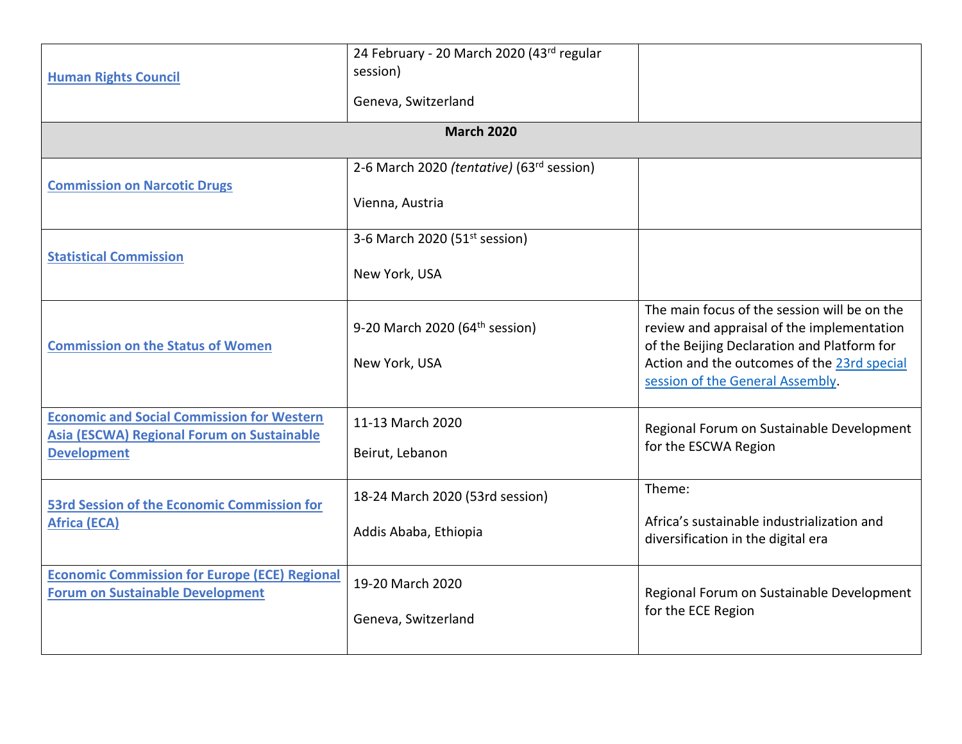|                                                                                                 | 24 February - 20 March 2020 (43rd regular  |                                                                                                                                |
|-------------------------------------------------------------------------------------------------|--------------------------------------------|--------------------------------------------------------------------------------------------------------------------------------|
| <b>Human Rights Council</b>                                                                     | session)                                   |                                                                                                                                |
|                                                                                                 | Geneva, Switzerland                        |                                                                                                                                |
|                                                                                                 | <b>March 2020</b>                          |                                                                                                                                |
|                                                                                                 | 2-6 March 2020 (tentative) (63rd session)  |                                                                                                                                |
| <b>Commission on Narcotic Drugs</b>                                                             | Vienna, Austria                            |                                                                                                                                |
|                                                                                                 | 3-6 March 2020 (51 <sup>st</sup> session)  |                                                                                                                                |
| <b>Statistical Commission</b>                                                                   | New York, USA                              |                                                                                                                                |
|                                                                                                 | 9-20 March 2020 (64 <sup>th</sup> session) | The main focus of the session will be on the<br>review and appraisal of the implementation                                     |
| <b>Commission on the Status of Women</b>                                                        | New York, USA                              | of the Beijing Declaration and Platform for<br>Action and the outcomes of the 23rd special<br>session of the General Assembly. |
| <b>Economic and Social Commission for Western</b>                                               | 11-13 March 2020                           | Regional Forum on Sustainable Development                                                                                      |
| <b>Asia (ESCWA) Regional Forum on Sustainable</b><br><b>Development</b>                         | Beirut, Lebanon                            | for the ESCWA Region                                                                                                           |
| <b>53rd Session of the Economic Commission for</b>                                              | 18-24 March 2020 (53rd session)            | Theme:                                                                                                                         |
| <b>Africa (ECA)</b>                                                                             | Addis Ababa, Ethiopia                      | Africa's sustainable industrialization and<br>diversification in the digital era                                               |
| <b>Economic Commission for Europe (ECE) Regional</b><br><b>Forum on Sustainable Development</b> | 19-20 March 2020                           | Regional Forum on Sustainable Development                                                                                      |
|                                                                                                 | Geneva, Switzerland                        | for the ECE Region                                                                                                             |
|                                                                                                 |                                            |                                                                                                                                |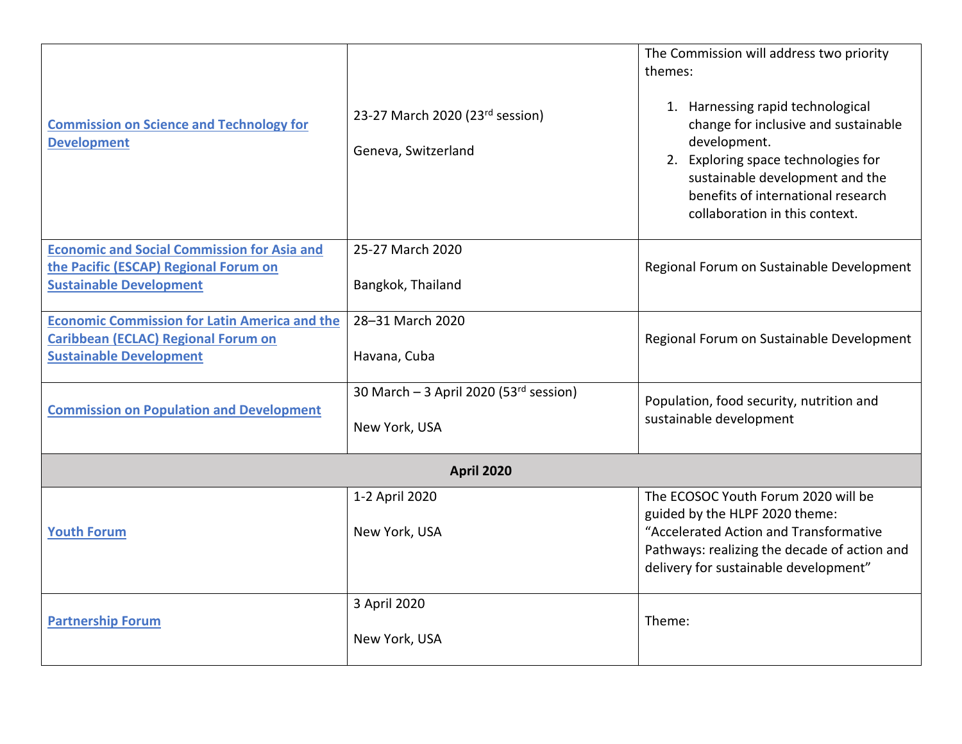| <b>Commission on Science and Technology for</b><br><b>Development</b>                                                                | 23-27 March 2020 (23rd session)<br>Geneva, Switzerland                | The Commission will address two priority<br>themes:<br>1. Harnessing rapid technological<br>change for inclusive and sustainable<br>development.<br>2. Exploring space technologies for<br>sustainable development and the<br>benefits of international research<br>collaboration in this context. |
|--------------------------------------------------------------------------------------------------------------------------------------|-----------------------------------------------------------------------|----------------------------------------------------------------------------------------------------------------------------------------------------------------------------------------------------------------------------------------------------------------------------------------------------|
| <b>Economic and Social Commission for Asia and</b><br>the Pacific (ESCAP) Regional Forum on<br><b>Sustainable Development</b>        | 25-27 March 2020<br>Bangkok, Thailand                                 | Regional Forum on Sustainable Development                                                                                                                                                                                                                                                          |
| <b>Economic Commission for Latin America and the</b><br><b>Caribbean (ECLAC) Regional Forum on</b><br><b>Sustainable Development</b> | 28-31 March 2020<br>Havana, Cuba                                      | Regional Forum on Sustainable Development                                                                                                                                                                                                                                                          |
| <b>Commission on Population and Development</b>                                                                                      | 30 March $-$ 3 April 2020 (53 <sup>rd</sup> session)<br>New York, USA | Population, food security, nutrition and<br>sustainable development                                                                                                                                                                                                                                |
|                                                                                                                                      | <b>April 2020</b>                                                     |                                                                                                                                                                                                                                                                                                    |
| <b>Youth Forum</b>                                                                                                                   | 1-2 April 2020<br>New York, USA                                       | The ECOSOC Youth Forum 2020 will be<br>guided by the HLPF 2020 theme:<br>"Accelerated Action and Transformative<br>Pathways: realizing the decade of action and<br>delivery for sustainable development"                                                                                           |
| <b>Partnership Forum</b>                                                                                                             | 3 April 2020<br>New York, USA                                         | Theme:                                                                                                                                                                                                                                                                                             |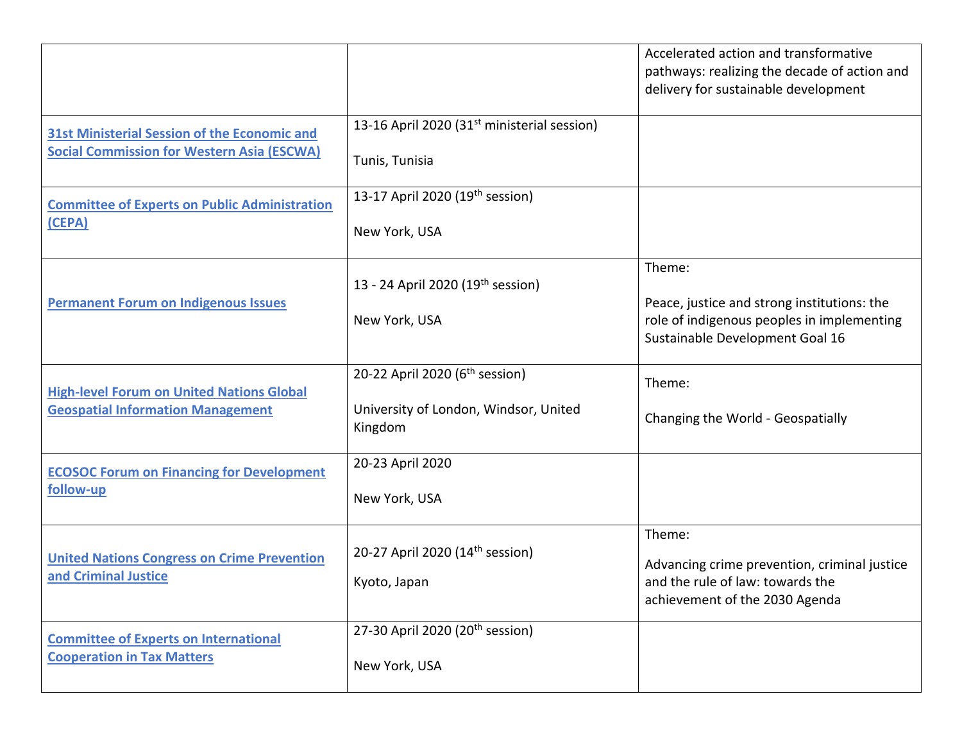|                                                                                                          |                                                                                                | Accelerated action and transformative<br>pathways: realizing the decade of action and<br>delivery for sustainable development          |
|----------------------------------------------------------------------------------------------------------|------------------------------------------------------------------------------------------------|----------------------------------------------------------------------------------------------------------------------------------------|
| <b>31st Ministerial Session of the Economic and</b><br><b>Social Commission for Western Asia (ESCWA)</b> | 13-16 April 2020 (31 <sup>st</sup> ministerial session)<br>Tunis, Tunisia                      |                                                                                                                                        |
| <b>Committee of Experts on Public Administration</b><br>(CEPA)                                           | 13-17 April 2020 (19 <sup>th</sup> session)<br>New York, USA                                   |                                                                                                                                        |
| <b>Permanent Forum on Indigenous Issues</b>                                                              | 13 - 24 April 2020 (19 <sup>th</sup> session)<br>New York, USA                                 | Theme:<br>Peace, justice and strong institutions: the<br>role of indigenous peoples in implementing<br>Sustainable Development Goal 16 |
| <b>High-level Forum on United Nations Global</b><br><b>Geospatial Information Management</b>             | 20-22 April 2020 (6 <sup>th</sup> session)<br>University of London, Windsor, United<br>Kingdom | Theme:<br>Changing the World - Geospatially                                                                                            |
| <b>ECOSOC Forum on Financing for Development</b><br>follow-up                                            | 20-23 April 2020<br>New York, USA                                                              |                                                                                                                                        |
| <b>United Nations Congress on Crime Prevention</b><br>and Criminal Justice                               | 20-27 April 2020 (14 <sup>th</sup> session)<br>Kyoto, Japan                                    | Theme:<br>Advancing crime prevention, criminal justice<br>and the rule of law: towards the<br>achievement of the 2030 Agenda           |
| <b>Committee of Experts on International</b><br><b>Cooperation in Tax Matters</b>                        | 27-30 April 2020 (20 <sup>th</sup> session)<br>New York, USA                                   |                                                                                                                                        |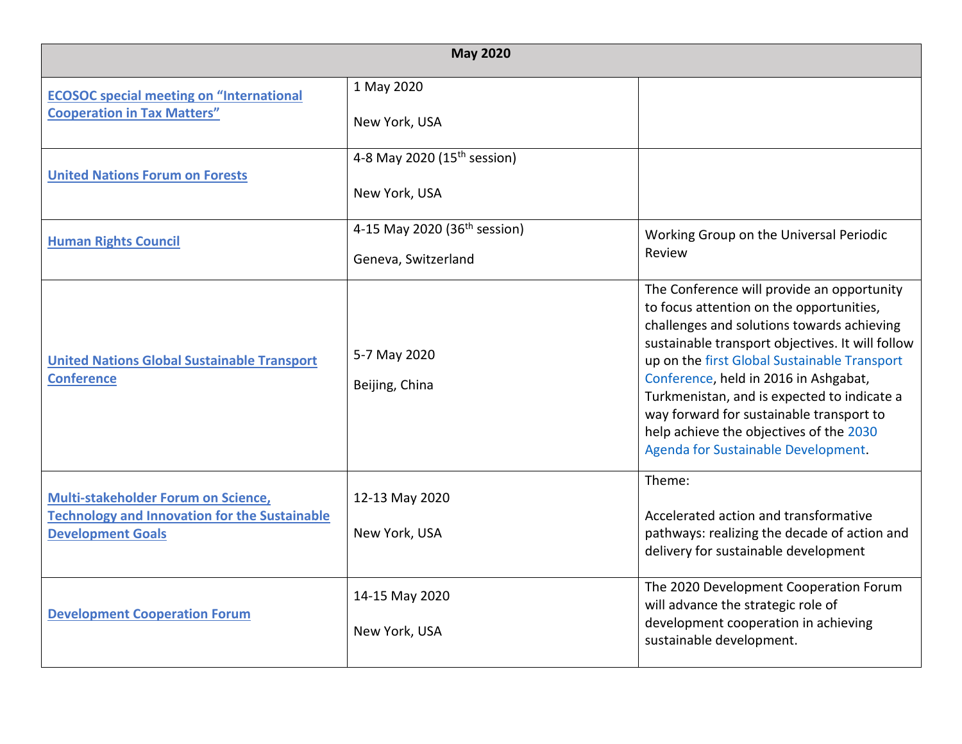|                                                                                                                         | <b>May 2020</b>                                                 |                                                                                                                                                                                                                                                                                                                                                                                                                                                                |
|-------------------------------------------------------------------------------------------------------------------------|-----------------------------------------------------------------|----------------------------------------------------------------------------------------------------------------------------------------------------------------------------------------------------------------------------------------------------------------------------------------------------------------------------------------------------------------------------------------------------------------------------------------------------------------|
| <b>ECOSOC special meeting on "International</b><br><b>Cooperation in Tax Matters"</b>                                   | 1 May 2020<br>New York, USA                                     |                                                                                                                                                                                                                                                                                                                                                                                                                                                                |
| <b>United Nations Forum on Forests</b>                                                                                  | 4-8 May 2020 (15 <sup>th</sup> session)<br>New York, USA        |                                                                                                                                                                                                                                                                                                                                                                                                                                                                |
| <b>Human Rights Council</b>                                                                                             | 4-15 May 2020 (36 <sup>th</sup> session)<br>Geneva, Switzerland | Working Group on the Universal Periodic<br>Review                                                                                                                                                                                                                                                                                                                                                                                                              |
| <b>United Nations Global Sustainable Transport</b><br><b>Conference</b>                                                 | 5-7 May 2020<br>Beijing, China                                  | The Conference will provide an opportunity<br>to focus attention on the opportunities,<br>challenges and solutions towards achieving<br>sustainable transport objectives. It will follow<br>up on the first Global Sustainable Transport<br>Conference, held in 2016 in Ashgabat,<br>Turkmenistan, and is expected to indicate a<br>way forward for sustainable transport to<br>help achieve the objectives of the 2030<br>Agenda for Sustainable Development. |
| Multi-stakeholder Forum on Science,<br><b>Technology and Innovation for the Sustainable</b><br><b>Development Goals</b> | 12-13 May 2020<br>New York, USA                                 | Theme:<br>Accelerated action and transformative<br>pathways: realizing the decade of action and<br>delivery for sustainable development                                                                                                                                                                                                                                                                                                                        |
| <b>Development Cooperation Forum</b>                                                                                    | 14-15 May 2020<br>New York, USA                                 | The 2020 Development Cooperation Forum<br>will advance the strategic role of<br>development cooperation in achieving<br>sustainable development.                                                                                                                                                                                                                                                                                                               |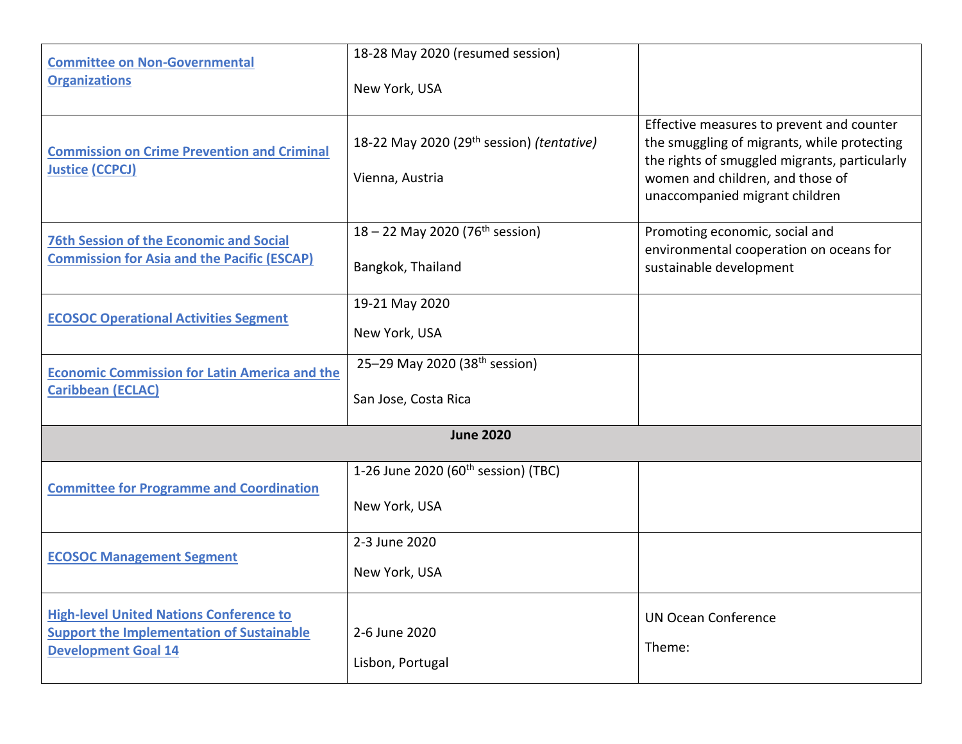| <b>Committee on Non-Governmental</b><br><b>Organizations</b>                                                                     | 18-28 May 2020 (resumed session)<br>New York, USA                        |                                                                                                                                                                                                                 |
|----------------------------------------------------------------------------------------------------------------------------------|--------------------------------------------------------------------------|-----------------------------------------------------------------------------------------------------------------------------------------------------------------------------------------------------------------|
| <b>Commission on Crime Prevention and Criminal</b><br><b>Justice (CCPCJ)</b>                                                     | 18-22 May 2020 (29 <sup>th</sup> session) (tentative)<br>Vienna, Austria | Effective measures to prevent and counter<br>the smuggling of migrants, while protecting<br>the rights of smuggled migrants, particularly<br>women and children, and those of<br>unaccompanied migrant children |
| <b>76th Session of the Economic and Social</b><br><b>Commission for Asia and the Pacific (ESCAP)</b>                             | 18 – 22 May 2020 (76 <sup>th</sup> session)<br>Bangkok, Thailand         | Promoting economic, social and<br>environmental cooperation on oceans for<br>sustainable development                                                                                                            |
| <b>ECOSOC Operational Activities Segment</b>                                                                                     | 19-21 May 2020<br>New York, USA                                          |                                                                                                                                                                                                                 |
| <b>Economic Commission for Latin America and the</b><br><b>Caribbean (ECLAC)</b>                                                 | 25-29 May 2020 (38 <sup>th</sup> session)<br>San Jose, Costa Rica        |                                                                                                                                                                                                                 |
|                                                                                                                                  | <b>June 2020</b>                                                         |                                                                                                                                                                                                                 |
| <b>Committee for Programme and Coordination</b>                                                                                  | 1-26 June 2020 (60 <sup>th</sup> session) (TBC)<br>New York, USA         |                                                                                                                                                                                                                 |
| <b>ECOSOC Management Segment</b>                                                                                                 | 2-3 June 2020<br>New York, USA                                           |                                                                                                                                                                                                                 |
| <b>High-level United Nations Conference to</b><br><b>Support the Implementation of Sustainable</b><br><b>Development Goal 14</b> | 2-6 June 2020<br>Lisbon, Portugal                                        | <b>UN Ocean Conference</b><br>Theme:                                                                                                                                                                            |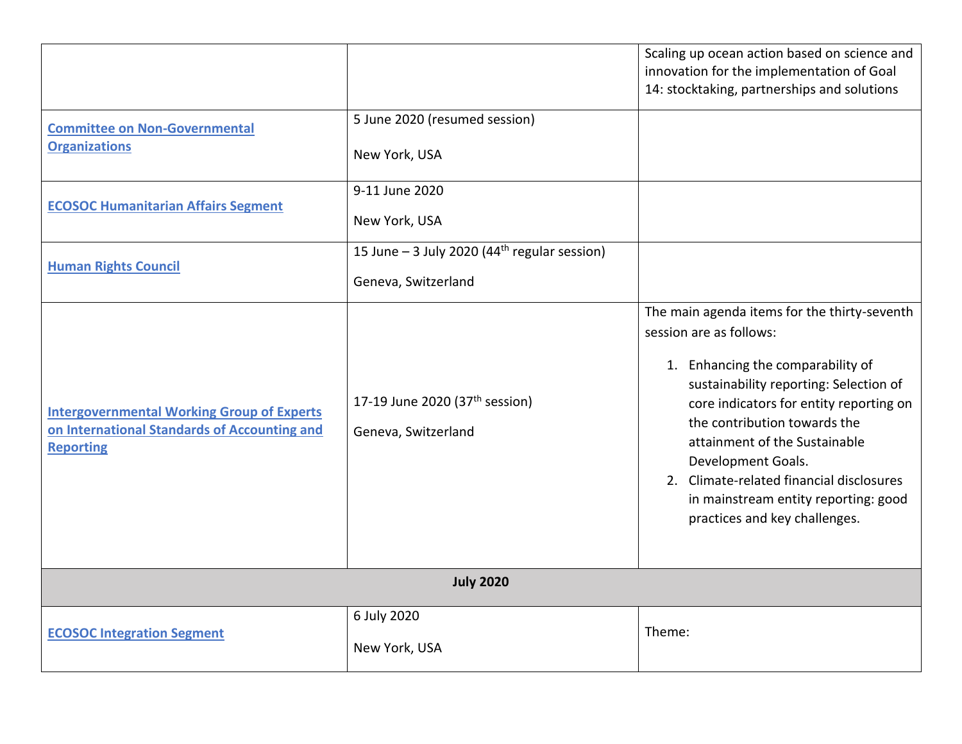|                                                                                                                       |                                                                                   | Scaling up ocean action based on science and<br>innovation for the implementation of Goal<br>14: stocktaking, partnerships and solutions                                                                                                                                                                                                                                                                      |  |
|-----------------------------------------------------------------------------------------------------------------------|-----------------------------------------------------------------------------------|---------------------------------------------------------------------------------------------------------------------------------------------------------------------------------------------------------------------------------------------------------------------------------------------------------------------------------------------------------------------------------------------------------------|--|
| <b>Committee on Non-Governmental</b><br><b>Organizations</b>                                                          | 5 June 2020 (resumed session)<br>New York, USA                                    |                                                                                                                                                                                                                                                                                                                                                                                                               |  |
| <b>ECOSOC Humanitarian Affairs Segment</b>                                                                            | 9-11 June 2020<br>New York, USA                                                   |                                                                                                                                                                                                                                                                                                                                                                                                               |  |
| <b>Human Rights Council</b>                                                                                           | 15 June $-$ 3 July 2020 (44 <sup>th</sup> regular session)<br>Geneva, Switzerland |                                                                                                                                                                                                                                                                                                                                                                                                               |  |
| <b>Intergovernmental Working Group of Experts</b><br>on International Standards of Accounting and<br><b>Reporting</b> | 17-19 June 2020 (37 <sup>th</sup> session)<br>Geneva, Switzerland                 | The main agenda items for the thirty-seventh<br>session are as follows:<br>1. Enhancing the comparability of<br>sustainability reporting: Selection of<br>core indicators for entity reporting on<br>the contribution towards the<br>attainment of the Sustainable<br>Development Goals.<br>2. Climate-related financial disclosures<br>in mainstream entity reporting: good<br>practices and key challenges. |  |
| <b>July 2020</b>                                                                                                      |                                                                                   |                                                                                                                                                                                                                                                                                                                                                                                                               |  |
| <b>ECOSOC Integration Segment</b>                                                                                     | 6 July 2020<br>New York, USA                                                      | Theme:                                                                                                                                                                                                                                                                                                                                                                                                        |  |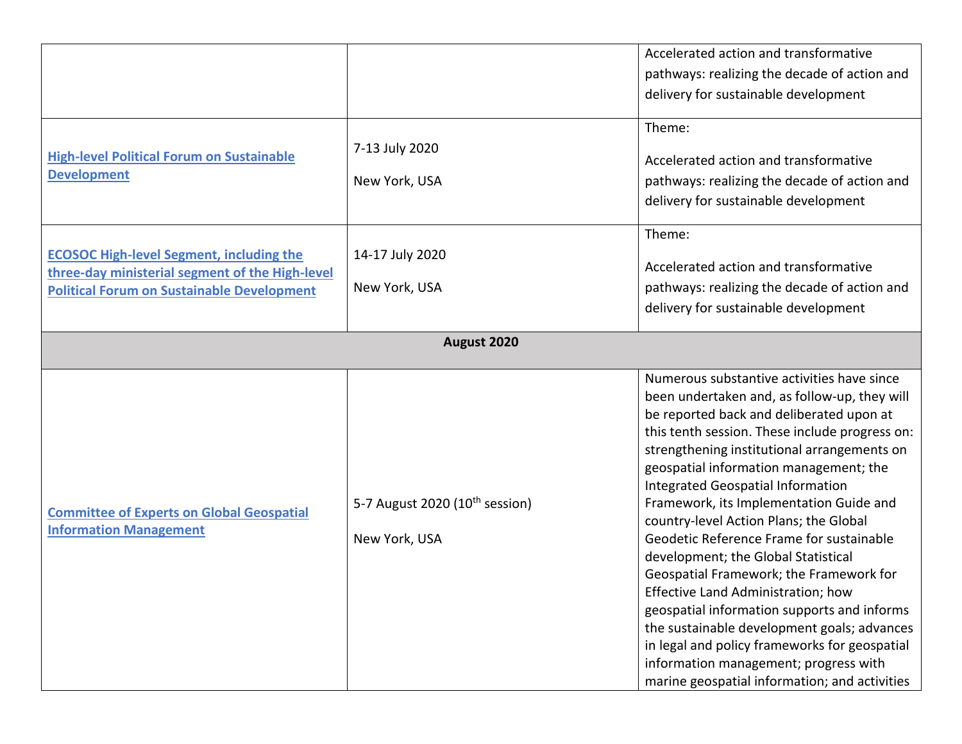|                                                                                                                                                         |                                                             | Accelerated action and transformative<br>pathways: realizing the decade of action and                                                                                                                                                                                                                                                                                                                                                                                                                                                                                                                                                                                                                                                                                                                                    |  |
|---------------------------------------------------------------------------------------------------------------------------------------------------------|-------------------------------------------------------------|--------------------------------------------------------------------------------------------------------------------------------------------------------------------------------------------------------------------------------------------------------------------------------------------------------------------------------------------------------------------------------------------------------------------------------------------------------------------------------------------------------------------------------------------------------------------------------------------------------------------------------------------------------------------------------------------------------------------------------------------------------------------------------------------------------------------------|--|
|                                                                                                                                                         |                                                             | delivery for sustainable development                                                                                                                                                                                                                                                                                                                                                                                                                                                                                                                                                                                                                                                                                                                                                                                     |  |
| <b>High-level Political Forum on Sustainable</b><br><b>Development</b>                                                                                  | 7-13 July 2020<br>New York, USA                             | Theme:<br>Accelerated action and transformative<br>pathways: realizing the decade of action and<br>delivery for sustainable development                                                                                                                                                                                                                                                                                                                                                                                                                                                                                                                                                                                                                                                                                  |  |
| <b>ECOSOC High-level Segment, including the</b><br>three-day ministerial segment of the High-level<br><b>Political Forum on Sustainable Development</b> | 14-17 July 2020<br>New York, USA                            | Theme:<br>Accelerated action and transformative<br>pathways: realizing the decade of action and<br>delivery for sustainable development                                                                                                                                                                                                                                                                                                                                                                                                                                                                                                                                                                                                                                                                                  |  |
| August 2020                                                                                                                                             |                                                             |                                                                                                                                                                                                                                                                                                                                                                                                                                                                                                                                                                                                                                                                                                                                                                                                                          |  |
| <b>Committee of Experts on Global Geospatial</b><br><b>Information Management</b>                                                                       | 5-7 August 2020 (10 <sup>th</sup> session)<br>New York, USA | Numerous substantive activities have since<br>been undertaken and, as follow-up, they will<br>be reported back and deliberated upon at<br>this tenth session. These include progress on:<br>strengthening institutional arrangements on<br>geospatial information management; the<br>Integrated Geospatial Information<br>Framework, its Implementation Guide and<br>country-level Action Plans; the Global<br>Geodetic Reference Frame for sustainable<br>development; the Global Statistical<br>Geospatial Framework; the Framework for<br>Effective Land Administration; how<br>geospatial information supports and informs<br>the sustainable development goals; advances<br>in legal and policy frameworks for geospatial<br>information management; progress with<br>marine geospatial information; and activities |  |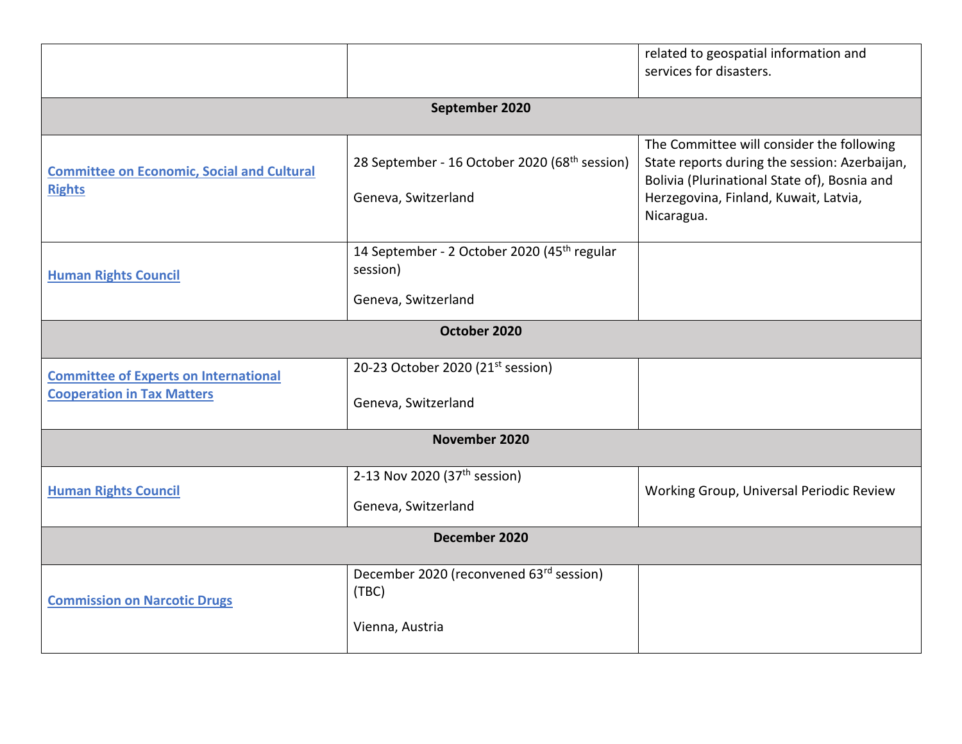|                                                                                   |                                                                                            | related to geospatial information and<br>services for disasters.                                                                                                                                  |  |
|-----------------------------------------------------------------------------------|--------------------------------------------------------------------------------------------|---------------------------------------------------------------------------------------------------------------------------------------------------------------------------------------------------|--|
|                                                                                   | September 2020                                                                             |                                                                                                                                                                                                   |  |
| <b>Committee on Economic, Social and Cultural</b><br><b>Rights</b>                | 28 September - 16 October 2020 (68 <sup>th</sup> session)<br>Geneva, Switzerland           | The Committee will consider the following<br>State reports during the session: Azerbaijan,<br>Bolivia (Plurinational State of), Bosnia and<br>Herzegovina, Finland, Kuwait, Latvia,<br>Nicaragua. |  |
| <b>Human Rights Council</b>                                                       | 14 September - 2 October 2020 (45 <sup>th</sup> regular<br>session)<br>Geneva, Switzerland |                                                                                                                                                                                                   |  |
| October 2020                                                                      |                                                                                            |                                                                                                                                                                                                   |  |
| <b>Committee of Experts on International</b><br><b>Cooperation in Tax Matters</b> | 20-23 October 2020 (21 <sup>st</sup> session)<br>Geneva, Switzerland                       |                                                                                                                                                                                                   |  |
|                                                                                   | November 2020                                                                              |                                                                                                                                                                                                   |  |
| <b>Human Rights Council</b>                                                       | 2-13 Nov 2020 (37 <sup>th</sup> session)<br>Geneva, Switzerland                            | Working Group, Universal Periodic Review                                                                                                                                                          |  |
| December 2020                                                                     |                                                                                            |                                                                                                                                                                                                   |  |
| <b>Commission on Narcotic Drugs</b>                                               | December 2020 (reconvened 63rd session)<br>(TBC)<br>Vienna, Austria                        |                                                                                                                                                                                                   |  |